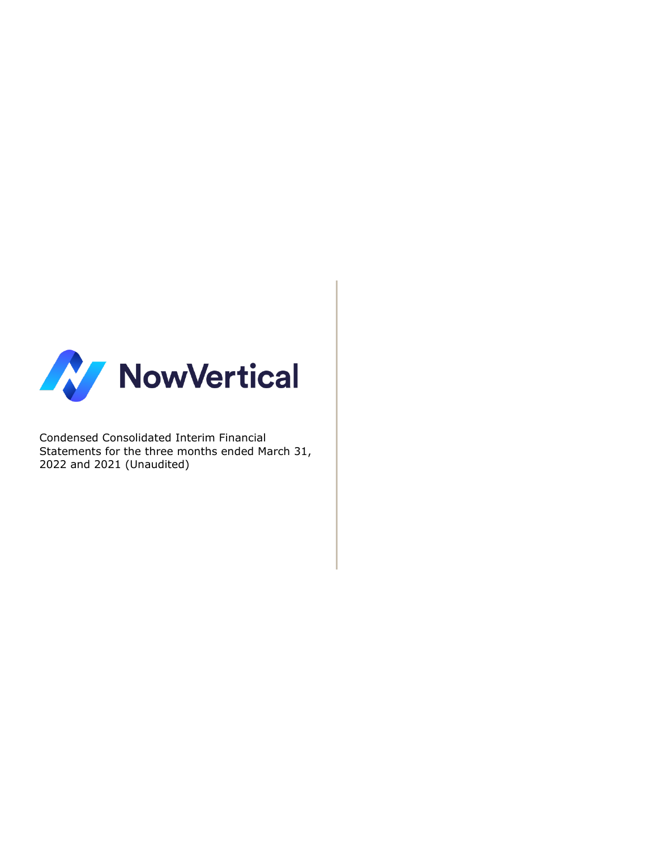

Condensed Consolidated Interim Financial Statements for the three months ended March 31, 2022 and 2021 (Unaudited)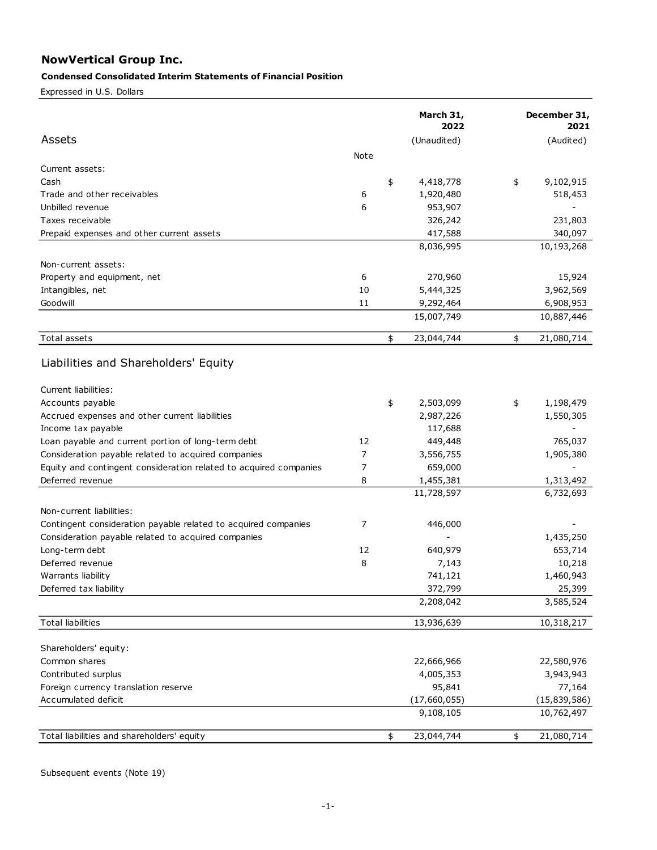# **NowVertical Group Inc.**

## **Condensed Consolidated Interim Statements of Financial Position**

Expressed in U.S. Dollars

|                                                                   |      | March 31,<br>2022         | December 31,<br>2021       |
|-------------------------------------------------------------------|------|---------------------------|----------------------------|
| Assets                                                            |      | (Unaudited)               | (Audited)                  |
|                                                                   | Note |                           |                            |
| Current assets:                                                   |      |                           |                            |
| Cash                                                              |      | \$<br>4,418,778           | \$<br>9,102,915            |
| Trade and other receivables                                       | 6    | 1,920,480                 | 518,453                    |
| Unbilled revenue                                                  | 6    | 953,907                   |                            |
| Taxes receivable                                                  |      | 326,242                   | 231,803                    |
| Prepaid expenses and other current assets                         |      | 417,588                   | 340,097                    |
|                                                                   |      | 8,036,995                 | 10,193,268                 |
| Non-current assets:                                               |      |                           |                            |
| Property and equipment, net                                       | 6    | 270,960                   | 15,924                     |
| Intangibles, net                                                  | 10   | 5,444,325                 | 3,962,569                  |
| Goodwill                                                          | 11   | 9,292,464                 | 6,908,953                  |
|                                                                   |      | 15,007,749                | 10,887,446                 |
|                                                                   |      |                           |                            |
| Total assets                                                      |      | \$<br>23,044,744          | \$<br>21,080,714           |
| Liabilities and Shareholders' Equity                              |      |                           |                            |
| Current liabilities:                                              |      |                           |                            |
| Accounts payable                                                  |      | \$<br>2,503,099           | \$<br>1,198,479            |
| Accrued expenses and other current liabilities                    |      | 2,987,226                 | 1,550,305                  |
| Income tax payable                                                |      | 117,688                   |                            |
| Loan payable and current portion of long-term debt                | 12   | 449,448                   | 765,037                    |
| Consideration payable related to acquired companies               | 7    | 3,556,755                 | 1,905,380                  |
| Equity and contingent consideration related to acquired companies | 7    | 659,000                   |                            |
| Deferred revenue                                                  | 8    | 1,455,381                 | 1,313,492                  |
|                                                                   |      | 11,728,597                | 6,732,693                  |
|                                                                   |      |                           |                            |
| Non-current liabilities:                                          |      |                           |                            |
| Contingent consideration payable related to acquired companies    | 7    | 446,000                   |                            |
| Consideration payable related to acquired companies               |      |                           | 1,435,250                  |
| Long-term debt<br>Deferred revenue                                | 12   | 640,979                   | 653,714                    |
|                                                                   | 8    | 7,143                     | 10,218                     |
| Warrants liability                                                |      | 741,121                   | 1,460,943                  |
| Deferred tax liability                                            |      | 372,799<br>2,208,042      | 25,399                     |
|                                                                   |      |                           | 3,585,524                  |
| <b>Total liabilities</b>                                          |      | 13,936,639                | 10,318,217                 |
|                                                                   |      |                           |                            |
| Shareholders' equity:                                             |      |                           |                            |
| Common shares                                                     |      | 22,666,966                | 22,580,976                 |
| Contributed surplus                                               |      | 4,005,353                 | 3,943,943                  |
| Foreign currency translation reserve                              |      | 95,841                    | 77,164                     |
| Accumulated deficit                                               |      | (17,660,055)<br>9,108,105 | (15,839,586)<br>10,762,497 |
|                                                                   |      |                           |                            |
| Total liabilities and shareholders' equity                        |      | \$<br>23,044,744          | \$<br>21,080,714           |

Subsequent events (Note 19)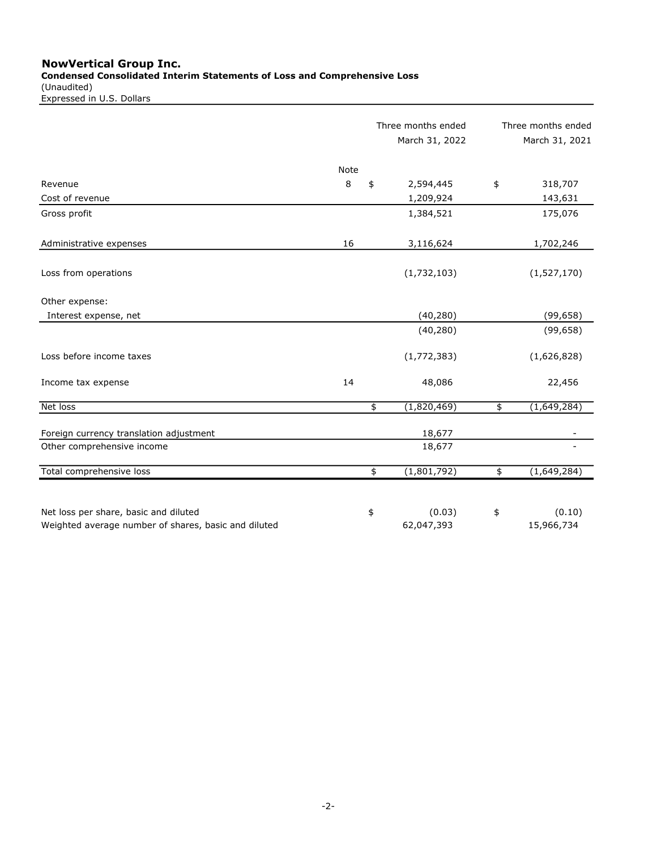### **NowVertical Group Inc. Condensed Consolidated Interim Statements of Loss and Comprehensive Loss**

(Unaudited) Expressed in U.S. Dollars

|                                                                                               |      | Three months ended<br>March 31, 2022 |                 | Three months ended<br>March 31, 2021 |
|-----------------------------------------------------------------------------------------------|------|--------------------------------------|-----------------|--------------------------------------|
|                                                                                               | Note |                                      |                 |                                      |
| Revenue                                                                                       | 8    | \$<br>2,594,445                      | \$              | 318,707                              |
| Cost of revenue                                                                               |      | 1,209,924                            |                 | 143,631                              |
| Gross profit                                                                                  |      | 1,384,521                            |                 | 175,076                              |
| Administrative expenses                                                                       | 16   | 3,116,624                            |                 | 1,702,246                            |
| Loss from operations                                                                          |      | (1,732,103)                          |                 | (1,527,170)                          |
| Other expense:                                                                                |      |                                      |                 |                                      |
| Interest expense, net                                                                         |      | (40, 280)                            |                 | (99, 658)                            |
|                                                                                               |      | (40, 280)                            |                 | (99, 658)                            |
| Loss before income taxes                                                                      |      | (1,772,383)                          |                 | (1,626,828)                          |
| Income tax expense                                                                            | 14   | 48,086                               |                 | 22,456                               |
| <b>Net loss</b>                                                                               |      | \$<br>(1,820,469)                    | $\overline{\$}$ | (1,649,284)                          |
| Foreign currency translation adjustment                                                       |      | 18,677                               |                 |                                      |
| Other comprehensive income                                                                    |      | 18,677                               |                 |                                      |
| Total comprehensive loss                                                                      |      | \$<br>(1,801,792)                    | \$              | (1,649,284)                          |
| Net loss per share, basic and diluted<br>Weighted average number of shares, basic and diluted |      | \$<br>(0.03)<br>62,047,393           | \$              | (0.10)<br>15,966,734                 |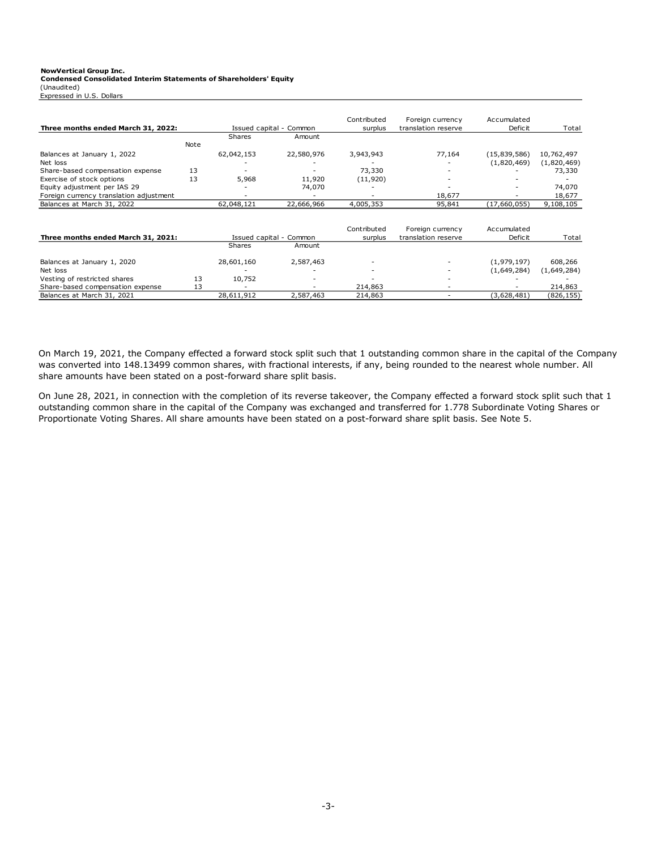#### **NowVertical Group Inc. Condensed Consolidated Interim Statements of Shareholders' Equity**

(Unaudited) Expressed in U.S. Dollars

|                                         |      |               |                         | Contributed | Foreign currency         | Accumulated    |             |
|-----------------------------------------|------|---------------|-------------------------|-------------|--------------------------|----------------|-------------|
| Three months ended March 31, 2022:      |      |               | Issued capital - Common | surplus     | translation reserve      | <b>Deficit</b> | Total       |
|                                         |      | <b>Shares</b> | Amount                  |             |                          |                |             |
|                                         | Note |               |                         |             |                          |                |             |
| Balances at January 1, 2022             |      | 62,042,153    | 22,580,976              | 3,943,943   | 77,164                   | (15,839,586)   | 10,762,497  |
| Net loss                                |      |               |                         |             |                          | (1,820,469)    | (1,820,469) |
| Share-based compensation expense        | 13   |               |                         | 73,330      |                          |                | 73,330      |
| Exercise of stock options               | 13   | 5,968         | 11,920                  | (11,920)    |                          |                |             |
| Equity adjustment per IAS 29            |      |               | 74,070                  |             |                          |                | 74,070      |
| Foreign currency translation adjustment |      |               |                         |             | 18,677                   |                | 18,677      |
| Balances at March 31, 2022              |      | 62,048,121    | 22,666,966              | 4,005,353   | 95,841                   | (17,660,055)   | 9,108,105   |
|                                         |      |               |                         |             |                          |                |             |
|                                         |      |               |                         |             |                          |                |             |
|                                         |      |               |                         | Contributed | Foreign currency         | Accumulated    |             |
| Three months ended March 31, 2021:      |      |               | Issued capital - Common | surplus     | translation reserve      | <b>Deficit</b> | Total       |
|                                         |      | <b>Shares</b> | Amount                  |             |                          |                |             |
| Balances at January 1, 2020             |      | 28,601,160    | 2,587,463               |             |                          | (1,979,197)    | 608,266     |
| Net loss                                |      |               |                         |             | $\overline{\phantom{a}}$ | (1,649,284)    | (1,649,284) |
| Vesting of restricted shares            | 13   | 10,752        |                         |             |                          |                |             |
| Share-based compensation expense        | 13   |               |                         | 214,863     |                          |                | 214,863     |
| Balances at March 31, 2021              |      | 28,611,912    | 2,587,463               | 214,863     | ٠                        | (3,628,481)    | (826,155)   |

On March 19, 2021, the Company effected a forward stock split such that 1 outstanding common share in the capital of the Company was converted into 148.13499 common shares, with fractional interests, if any, being rounded to the nearest whole number. All share amounts have been stated on a post-forward share split basis.

On June 28, 2021, in connection with the completion of its reverse takeover, the Company effected a forward stock split such that 1 outstanding common share in the capital of the Company was exchanged and transferred for 1.778 Subordinate Voting Shares or Proportionate Voting Shares. All share amounts have been stated on a post-forward share split basis. See Note 5.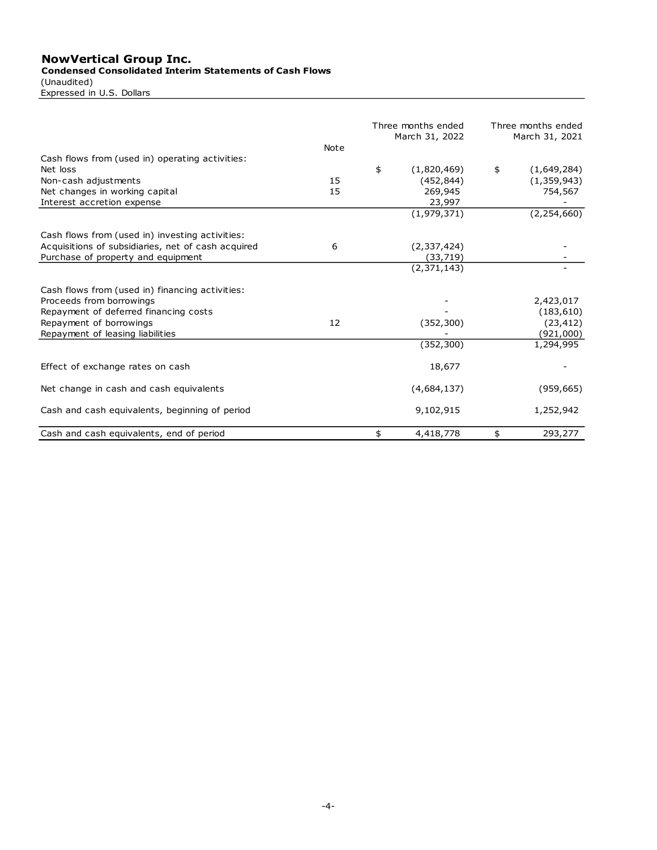## **NowVertical Group Inc.**

#### **Condensed Consolidated Interim Statements of Cash Flows**

(Unaudited) Expressed in U.S. Dollars

|                                                    | Note | Three months ended<br>March 31, 2022 | Three months ended<br>March 31, 2021 |
|----------------------------------------------------|------|--------------------------------------|--------------------------------------|
| Cash flows from (used in) operating activities:    |      |                                      |                                      |
| Net loss                                           |      | \$<br>(1,820,469)                    | \$<br>(1,649,284)                    |
| Non-cash adjustments                               | 15   | (452, 844)                           | (1, 359, 943)                        |
| Net changes in working capital                     | 15   | 269,945                              | 754,567                              |
| Interest accretion expense                         |      | 23,997                               |                                      |
|                                                    |      | (1, 979, 371)                        | (2, 254, 660)                        |
| Cash flows from (used in) investing activities:    |      |                                      |                                      |
| Acquisitions of subsidiaries, net of cash acquired | 6    | (2,337,424)                          |                                      |
| Purchase of property and equipment                 |      | (33, 719)                            |                                      |
|                                                    |      | (2,371,143)                          |                                      |
| Cash flows from (used in) financing activities:    |      |                                      |                                      |
| Proceeds from borrowings                           |      |                                      | 2,423,017                            |
| Repayment of deferred financing costs              |      |                                      | (183, 610)                           |
| Repayment of borrowings                            | 12   | (352, 300)                           | (23, 412)                            |
| Repayment of leasing liabilities                   |      |                                      | (921,000)                            |
|                                                    |      | (352, 300)                           | 1,294,995                            |
| Effect of exchange rates on cash                   |      | 18,677                               |                                      |
| Net change in cash and cash equivalents            |      | (4,684,137)                          | (959, 665)                           |
| Cash and cash equivalents, beginning of period     |      | 9,102,915                            | 1,252,942                            |
| Cash and cash equivalents, end of period           |      | \$<br>4,418,778                      | \$<br>293,277                        |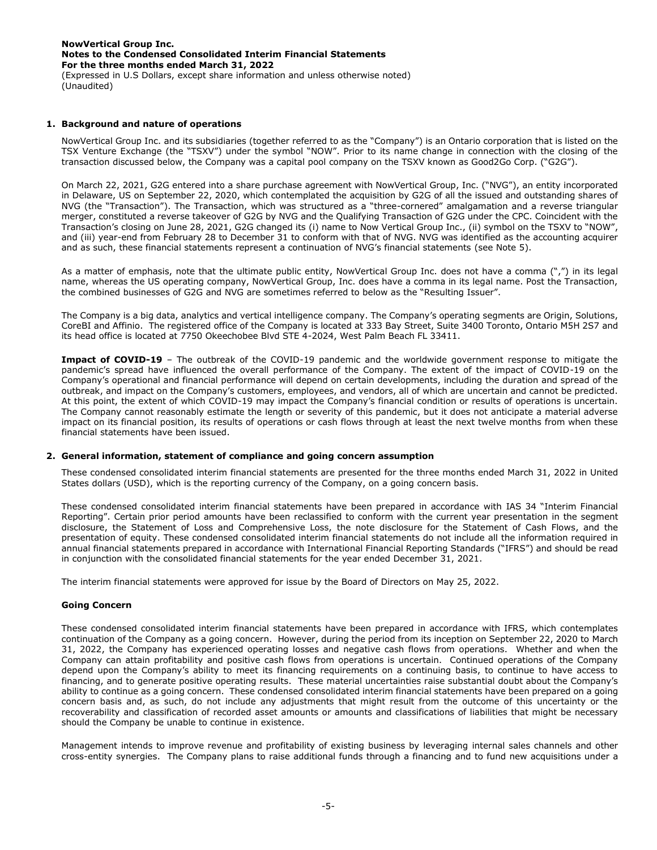(Expressed in U.S Dollars, except share information and unless otherwise noted) (Unaudited)

### **1. Background and nature of operations**

NowVertical Group Inc. and its subsidiaries (together referred to as the "Company") is an Ontario corporation that is listed on the TSX Venture Exchange (the "TSXV") under the symbol "NOW". Prior to its name change in connection with the closing of the transaction discussed below, the Company was a capital pool company on the TSXV known as Good2Go Corp. ("G2G").

On March 22, 2021, G2G entered into a share purchase agreement with NowVertical Group, Inc. ("NVG"), an entity incorporated in Delaware, US on September 22, 2020, which contemplated the acquisition by G2G of all the issued and outstanding shares of NVG (the "Transaction"). The Transaction, which was structured as a "three-cornered" amalgamation and a reverse triangular merger, constituted a reverse takeover of G2G by NVG and the Qualifying Transaction of G2G under the CPC. Coincident with the Transaction's closing on June 28, 2021, G2G changed its (i) name to Now Vertical Group Inc., (ii) symbol on the TSXV to "NOW", and (iii) year-end from February 28 to December 31 to conform with that of NVG. NVG was identified as the accounting acquirer and as such, these financial statements represent a continuation of NVG's financial statements (see Note 5).

As a matter of emphasis, note that the ultimate public entity, NowVertical Group Inc. does not have a comma (",") in its legal name, whereas the US operating company, NowVertical Group, Inc. does have a comma in its legal name. Post the Transaction, the combined businesses of G2G and NVG are sometimes referred to below as the "Resulting Issuer".

The Company is a big data, analytics and vertical intelligence company. The Company's operating segments are Origin, Solutions, CoreBI and Affinio. The registered office of the Company is located at 333 Bay Street, Suite 3400 Toronto, Ontario M5H 2S7 and its head office is located at 7750 Okeechobee Blvd STE 4-2024, West Palm Beach FL 33411.

**Impact of COVID-19** – The outbreak of the COVID-19 pandemic and the worldwide government response to mitigate the pandemic's spread have influenced the overall performance of the Company. The extent of the impact of COVID-19 on the Company's operational and financial performance will depend on certain developments, including the duration and spread of the outbreak, and impact on the Company's customers, employees, and vendors, all of which are uncertain and cannot be predicted. At this point, the extent of which COVID-19 may impact the Company's financial condition or results of operations is uncertain. The Company cannot reasonably estimate the length or severity of this pandemic, but it does not anticipate a material adverse impact on its financial position, its results of operations or cash flows through at least the next twelve months from when these financial statements have been issued.

### **2. General information, statement of compliance and going concern assumption**

These condensed consolidated interim financial statements are presented for the three months ended March 31, 2022 in United States dollars (USD), which is the reporting currency of the Company, on a going concern basis.

These condensed consolidated interim financial statements have been prepared in accordance with IAS 34 "Interim Financial Reporting". Certain prior period amounts have been reclassified to conform with the current year presentation in the segment disclosure, the Statement of Loss and Comprehensive Loss, the note disclosure for the Statement of Cash Flows, and the presentation of equity. These condensed consolidated interim financial statements do not include all the information required in annual financial statements prepared in accordance with International Financial Reporting Standards ("IFRS") and should be read in conjunction with the consolidated financial statements for the year ended December 31, 2021.

The interim financial statements were approved for issue by the Board of Directors on May 25, 2022.

#### **Going Concern**

These condensed consolidated interim financial statements have been prepared in accordance with IFRS, which contemplates continuation of the Company as a going concern. However, during the period from its inception on September 22, 2020 to March 31, 2022, the Company has experienced operating losses and negative cash flows from operations. Whether and when the Company can attain profitability and positive cash flows from operations is uncertain. Continued operations of the Company depend upon the Company's ability to meet its financing requirements on a continuing basis, to continue to have access to financing, and to generate positive operating results. These material uncertainties raise substantial doubt about the Company's ability to continue as a going concern. These condensed consolidated interim financial statements have been prepared on a going concern basis and, as such, do not include any adjustments that might result from the outcome of this uncertainty or the recoverability and classification of recorded asset amounts or amounts and classifications of liabilities that might be necessary should the Company be unable to continue in existence.

Management intends to improve revenue and profitability of existing business by leveraging internal sales channels and other cross-entity synergies. The Company plans to raise additional funds through a financing and to fund new acquisitions under a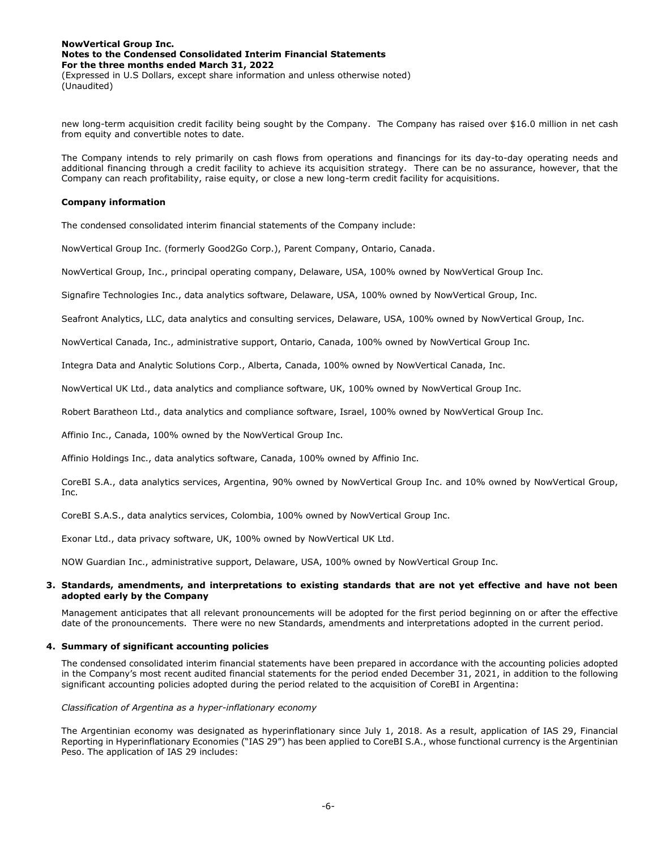(Expressed in U.S Dollars, except share information and unless otherwise noted) (Unaudited)

new long-term acquisition credit facility being sought by the Company. The Company has raised over \$16.0 million in net cash from equity and convertible notes to date.

The Company intends to rely primarily on cash flows from operations and financings for its day-to-day operating needs and additional financing through a credit facility to achieve its acquisition strategy. There can be no assurance, however, that the Company can reach profitability, raise equity, or close a new long-term credit facility for acquisitions.

### **Company information**

The condensed consolidated interim financial statements of the Company include:

NowVertical Group Inc. (formerly Good2Go Corp.), Parent Company, Ontario, Canada.

NowVertical Group, Inc., principal operating company, Delaware, USA, 100% owned by NowVertical Group Inc.

Signafire Technologies Inc., data analytics software, Delaware, USA, 100% owned by NowVertical Group, Inc.

Seafront Analytics, LLC, data analytics and consulting services, Delaware, USA, 100% owned by NowVertical Group, Inc.

NowVertical Canada, Inc., administrative support, Ontario, Canada, 100% owned by NowVertical Group Inc.

Integra Data and Analytic Solutions Corp., Alberta, Canada, 100% owned by NowVertical Canada, Inc.

NowVertical UK Ltd., data analytics and compliance software, UK, 100% owned by NowVertical Group Inc.

Robert Baratheon Ltd., data analytics and compliance software, Israel, 100% owned by NowVertical Group Inc.

Affinio Inc., Canada, 100% owned by the NowVertical Group Inc.

Affinio Holdings Inc., data analytics software, Canada, 100% owned by Affinio Inc.

CoreBI S.A., data analytics services, Argentina, 90% owned by NowVertical Group Inc. and 10% owned by NowVertical Group, Inc.

CoreBI S.A.S., data analytics services, Colombia, 100% owned by NowVertical Group Inc.

Exonar Ltd., data privacy software, UK, 100% owned by NowVertical UK Ltd.

NOW Guardian Inc., administrative support, Delaware, USA, 100% owned by NowVertical Group Inc.

#### **3. Standards, amendments, and interpretations to existing standards that are not yet effective and have not been adopted early by the Company**

Management anticipates that all relevant pronouncements will be adopted for the first period beginning on or after the effective date of the pronouncements. There were no new Standards, amendments and interpretations adopted in the current period.

#### **4. Summary of significant accounting policies**

The condensed consolidated interim financial statements have been prepared in accordance with the accounting policies adopted in the Company's most recent audited financial statements for the period ended December 31, 2021, in addition to the following significant accounting policies adopted during the period related to the acquisition of CoreBI in Argentina:

#### *Classification of Argentina as a hyper-inflationary economy*

The Argentinian economy was designated as hyperinflationary since July 1, 2018. As a result, application of IAS 29, Financial Reporting in Hyperinflationary Economies ("IAS 29") has been applied to CoreBI S.A., whose functional currency is the Argentinian Peso. The application of IAS 29 includes: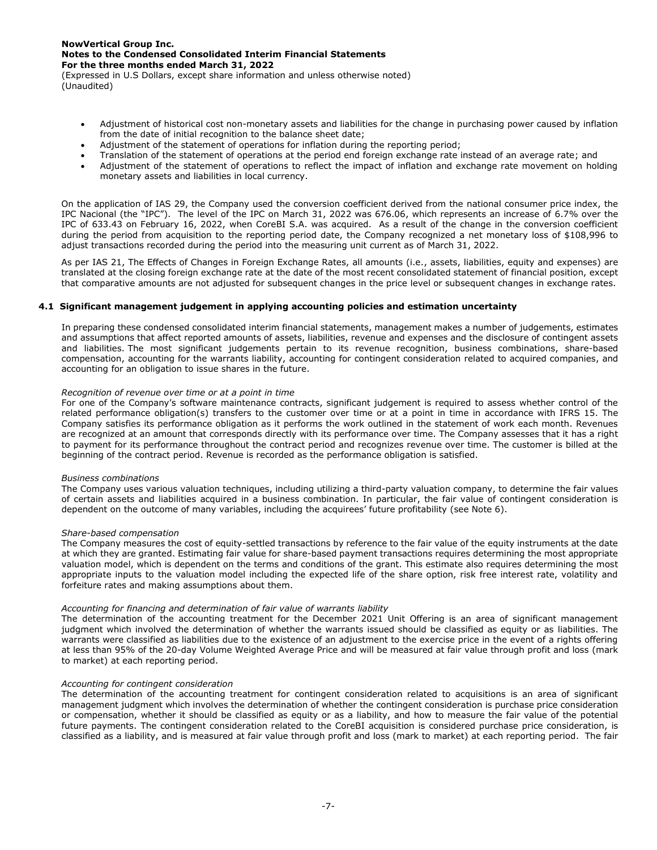(Expressed in U.S Dollars, except share information and unless otherwise noted) (Unaudited)

- Adjustment of historical cost non-monetary assets and liabilities for the change in purchasing power caused by inflation from the date of initial recognition to the balance sheet date;
- Adjustment of the statement of operations for inflation during the reporting period:
- Translation of the statement of operations at the period end foreign exchange rate instead of an average rate; and
- Adjustment of the statement of operations to reflect the impact of inflation and exchange rate movement on holding monetary assets and liabilities in local currency.

On the application of IAS 29, the Company used the conversion coefficient derived from the national consumer price index, the IPC Nacional (the "IPC"). The level of the IPC on March 31, 2022 was 676.06, which represents an increase of 6.7% over the IPC of 633.43 on February 16, 2022, when CoreBI S.A. was acquired. As a result of the change in the conversion coefficient during the period from acquisition to the reporting period date, the Company recognized a net monetary loss of \$108,996 to adjust transactions recorded during the period into the measuring unit current as of March 31, 2022.

As per IAS 21, The Effects of Changes in Foreign Exchange Rates, all amounts (i.e., assets, liabilities, equity and expenses) are translated at the closing foreign exchange rate at the date of the most recent consolidated statement of financial position, except that comparative amounts are not adjusted for subsequent changes in the price level or subsequent changes in exchange rates.

### **4.1 Significant management judgement in applying accounting policies and estimation uncertainty**

In preparing these condensed consolidated interim financial statements, management makes a number of judgements, estimates and assumptions that affect reported amounts of assets, liabilities, revenue and expenses and the disclosure of contingent assets and liabilities. The most significant judgements pertain to its revenue recognition, business combinations, share-based compensation, accounting for the warrants liability, accounting for contingent consideration related to acquired companies, and accounting for an obligation to issue shares in the future.

### *Recognition of revenue over time or at a point in time*

For one of the Company's software maintenance contracts, significant judgement is required to assess whether control of the related performance obligation(s) transfers to the customer over time or at a point in time in accordance with IFRS 15. The Company satisfies its performance obligation as it performs the work outlined in the statement of work each month. Revenues are recognized at an amount that corresponds directly with its performance over time. The Company assesses that it has a right to payment for its performance throughout the contract period and recognizes revenue over time. The customer is billed at the beginning of the contract period. Revenue is recorded as the performance obligation is satisfied.

### *Business combinations*

The Company uses various valuation techniques, including utilizing a third-party valuation company, to determine the fair values of certain assets and liabilities acquired in a business combination. In particular, the fair value of contingent consideration is dependent on the outcome of many variables, including the acquirees' future profitability (see Note 6).

### *Share-based compensation*

The Company measures the cost of equity-settled transactions by reference to the fair value of the equity instruments at the date at which they are granted. Estimating fair value for share-based payment transactions requires determining the most appropriate valuation model, which is dependent on the terms and conditions of the grant. This estimate also requires determining the most appropriate inputs to the valuation model including the expected life of the share option, risk free interest rate, volatility and forfeiture rates and making assumptions about them.

#### *Accounting for financing and determination of fair value of warrants liability*

The determination of the accounting treatment for the December 2021 Unit Offering is an area of significant management judgment which involved the determination of whether the warrants issued should be classified as equity or as liabilities. The warrants were classified as liabilities due to the existence of an adjustment to the exercise price in the event of a rights offering at less than 95% of the 20-day Volume Weighted Average Price and will be measured at fair value through profit and loss (mark to market) at each reporting period.

#### *Accounting for contingent consideration*

The determination of the accounting treatment for contingent consideration related to acquisitions is an area of significant management judgment which involves the determination of whether the contingent consideration is purchase price consideration or compensation, whether it should be classified as equity or as a liability, and how to measure the fair value of the potential future payments. The contingent consideration related to the CoreBI acquisition is considered purchase price consideration, is classified as a liability, and is measured at fair value through profit and loss (mark to market) at each reporting period. The fair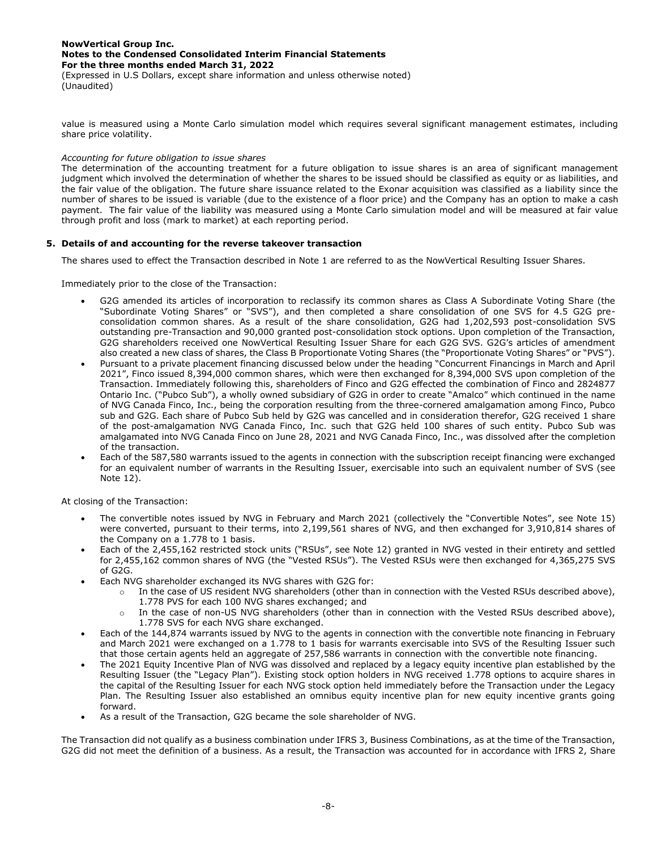(Expressed in U.S Dollars, except share information and unless otherwise noted) (Unaudited)

value is measured using a Monte Carlo simulation model which requires several significant management estimates, including share price volatility.

### *Accounting for future obligation to issue shares*

The determination of the accounting treatment for a future obligation to issue shares is an area of significant management judgment which involved the determination of whether the shares to be issued should be classified as equity or as liabilities, and the fair value of the obligation. The future share issuance related to the Exonar acquisition was classified as a liability since the number of shares to be issued is variable (due to the existence of a floor price) and the Company has an option to make a cash payment. The fair value of the liability was measured using a Monte Carlo simulation model and will be measured at fair value through profit and loss (mark to market) at each reporting period.

### **5. Details of and accounting for the reverse takeover transaction**

The shares used to effect the Transaction described in Note 1 are referred to as the NowVertical Resulting Issuer Shares.

Immediately prior to the close of the Transaction:

- G2G amended its articles of incorporation to reclassify its common shares as Class A Subordinate Voting Share (the "Subordinate Voting Shares" or "SVS"), and then completed a share consolidation of one SVS for 4.5 G2G preconsolidation common shares. As a result of the share consolidation, G2G had 1,202,593 post-consolidation SVS outstanding pre-Transaction and 90,000 granted post-consolidation stock options. Upon completion of the Transaction, G2G shareholders received one NowVertical Resulting Issuer Share for each G2G SVS. G2G's articles of amendment also created a new class of shares, the Class B Proportionate Voting Shares (the "Proportionate Voting Shares" or "PVS").
- Pursuant to a private placement financing discussed below under the heading "Concurrent Financings in March and April 2021", Finco issued 8,394,000 common shares, which were then exchanged for 8,394,000 SVS upon completion of the Transaction. Immediately following this, shareholders of Finco and G2G effected the combination of Finco and 2824877 Ontario Inc. ("Pubco Sub"), a wholly owned subsidiary of G2G in order to create "Amalco" which continued in the name of NVG Canada Finco, Inc., being the corporation resulting from the three-cornered amalgamation among Finco, Pubco sub and G2G. Each share of Pubco Sub held by G2G was cancelled and in consideration therefor, G2G received 1 share of the post-amalgamation NVG Canada Finco, Inc. such that G2G held 100 shares of such entity. Pubco Sub was amalgamated into NVG Canada Finco on June 28, 2021 and NVG Canada Finco, Inc., was dissolved after the completion of the transaction.
- Each of the 587,580 warrants issued to the agents in connection with the subscription receipt financing were exchanged for an equivalent number of warrants in the Resulting Issuer, exercisable into such an equivalent number of SVS (see Note 12).

At closing of the Transaction:

- The convertible notes issued by NVG in February and March 2021 (collectively the "Convertible Notes", see Note 15) were converted, pursuant to their terms, into 2,199,561 shares of NVG, and then exchanged for 3,910,814 shares of the Company on a 1.778 to 1 basis.
- Each of the 2,455,162 restricted stock units ("RSUs", see Note 12) granted in NVG vested in their entirety and settled for 2,455,162 common shares of NVG (the "Vested RSUs"). The Vested RSUs were then exchanged for 4,365,275 SVS of G2G.
- Each NVG shareholder exchanged its NVG shares with G2G for:
	- o In the case of US resident NVG shareholders (other than in connection with the Vested RSUs described above), 1.778 PVS for each 100 NVG shares exchanged; and
	- o In the case of non-US NVG shareholders (other than in connection with the Vested RSUs described above), 1.778 SVS for each NVG share exchanged.
- Each of the 144,874 warrants issued by NVG to the agents in connection with the convertible note financing in February and March 2021 were exchanged on a 1.778 to 1 basis for warrants exercisable into SVS of the Resulting Issuer such that those certain agents held an aggregate of 257,586 warrants in connection with the convertible note financing.
- The 2021 Equity Incentive Plan of NVG was dissolved and replaced by a legacy equity incentive plan established by the Resulting Issuer (the "Legacy Plan"). Existing stock option holders in NVG received 1.778 options to acquire shares in the capital of the Resulting Issuer for each NVG stock option held immediately before the Transaction under the Legacy Plan. The Resulting Issuer also established an omnibus equity incentive plan for new equity incentive grants going forward.
- As a result of the Transaction, G2G became the sole shareholder of NVG.

The Transaction did not qualify as a business combination under IFRS 3, Business Combinations, as at the time of the Transaction, G2G did not meet the definition of a business. As a result, the Transaction was accounted for in accordance with IFRS 2, Share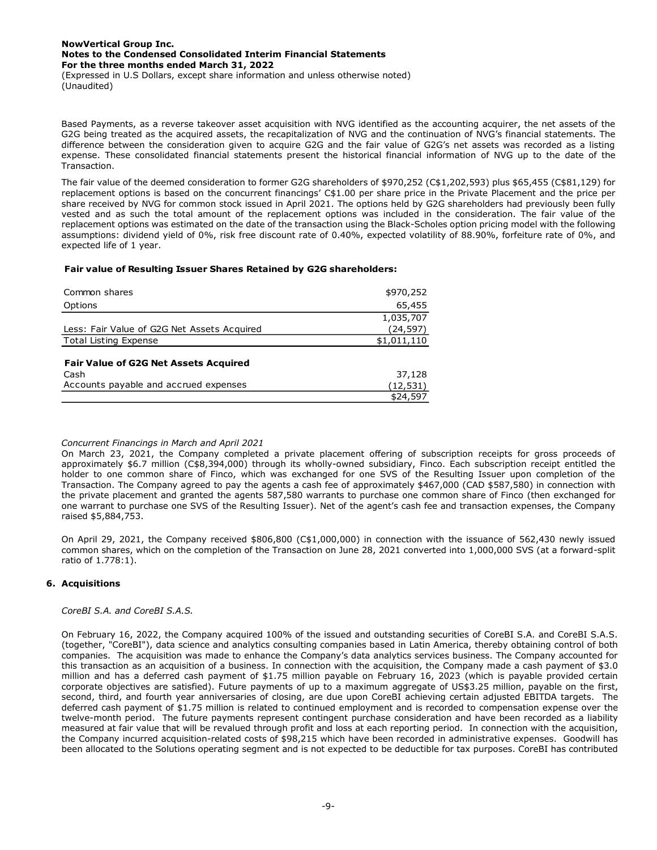(Expressed in U.S Dollars, except share information and unless otherwise noted) (Unaudited)

Based Payments, as a reverse takeover asset acquisition with NVG identified as the accounting acquirer, the net assets of the G2G being treated as the acquired assets, the recapitalization of NVG and the continuation of NVG's financial statements. The difference between the consideration given to acquire G2G and the fair value of G2G's net assets was recorded as a listing expense. These consolidated financial statements present the historical financial information of NVG up to the date of the Transaction.

The fair value of the deemed consideration to former G2G shareholders of \$970,252 (C\$1,202,593) plus \$65,455 (C\$81,129) for replacement options is based on the concurrent financings' C\$1.00 per share price in the Private Placement and the price per share received by NVG for common stock issued in April 2021. The options held by G2G shareholders had previously been fully vested and as such the total amount of the replacement options was included in the consideration. The fair value of the replacement options was estimated on the date of the transaction using the Black-Scholes option pricing model with the following assumptions: dividend yield of 0%, risk free discount rate of 0.40%, expected volatility of 88.90%, forfeiture rate of 0%, and expected life of 1 year.

### **Fair value of Resulting Issuer Shares Retained by G2G shareholders:**

| Common shares                                | \$970,252   |
|----------------------------------------------|-------------|
| Options                                      | 65,455      |
|                                              | 1,035,707   |
| Less: Fair Value of G2G Net Assets Acquired  | (24,597)    |
| <b>Total Listing Expense</b>                 | \$1,011,110 |
|                                              |             |
| <b>Fair Value of G2G Net Assets Acquired</b> |             |
| Cash                                         | 37,128      |
| Accounts payable and accrued expenses        | (12, 531)   |
|                                              | \$24,597    |

#### *Concurrent Financings in March and April 2021*

On March 23, 2021, the Company completed a private placement offering of subscription receipts for gross proceeds of approximately \$6.7 million (C\$8,394,000) through its wholly-owned subsidiary, Finco. Each subscription receipt entitled the holder to one common share of Finco, which was exchanged for one SVS of the Resulting Issuer upon completion of the Transaction. The Company agreed to pay the agents a cash fee of approximately \$467,000 (CAD \$587,580) in connection with the private placement and granted the agents 587,580 warrants to purchase one common share of Finco (then exchanged for one warrant to purchase one SVS of the Resulting Issuer). Net of the agent's cash fee and transaction expenses, the Company raised \$5,884,753.

On April 29, 2021, the Company received \$806,800 (C\$1,000,000) in connection with the issuance of 562,430 newly issued common shares, which on the completion of the Transaction on June 28, 2021 converted into 1,000,000 SVS (at a forward-split ratio of 1.778:1).

### **6. Acquisitions**

#### *CoreBI S.A. and CoreBI S.A.S.*

On February 16, 2022, the Company acquired 100% of the issued and outstanding securities of CoreBI S.A. and CoreBI S.A.S. (together, "CoreBI"), data science and analytics consulting companies based in Latin America, thereby obtaining control of both companies. The acquisition was made to enhance the Company's data analytics services business. The Company accounted for this transaction as an acquisition of a business. In connection with the acquisition, the Company made a cash payment of \$3.0 million and has a deferred cash payment of \$1.75 million payable on February 16, 2023 (which is payable provided certain corporate objectives are satisfied). Future payments of up to a maximum aggregate of US\$3.25 million, payable on the first, second, third, and fourth year anniversaries of closing, are due upon CoreBI achieving certain adjusted EBITDA targets. The deferred cash payment of \$1.75 million is related to continued employment and is recorded to compensation expense over the twelve-month period. The future payments represent contingent purchase consideration and have been recorded as a liability measured at fair value that will be revalued through profit and loss at each reporting period. In connection with the acquisition, the Company incurred acquisition-related costs of \$98,215 which have been recorded in administrative expenses. Goodwill has been allocated to the Solutions operating segment and is not expected to be deductible for tax purposes. CoreBI has contributed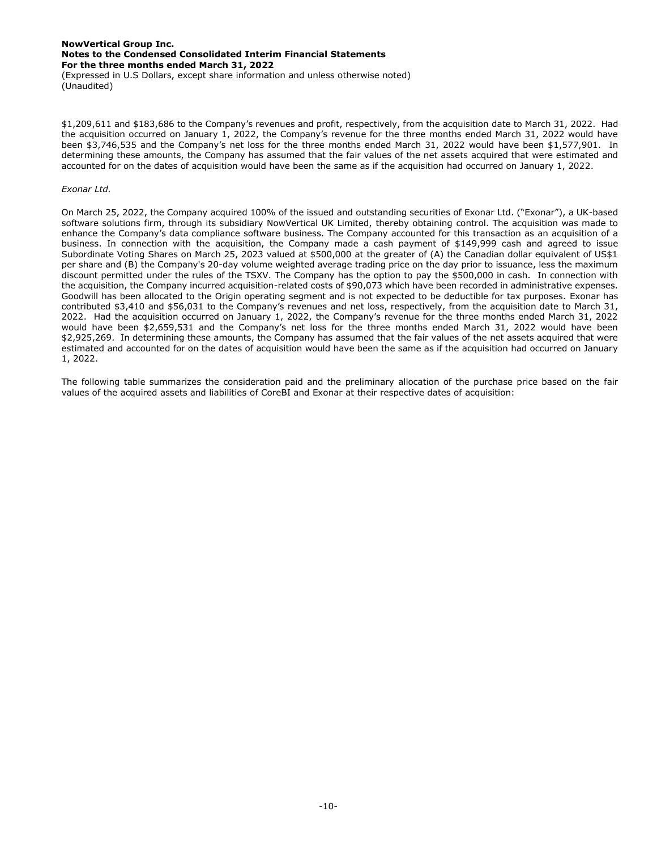(Expressed in U.S Dollars, except share information and unless otherwise noted) (Unaudited)

\$1,209,611 and \$183,686 to the Company's revenues and profit, respectively, from the acquisition date to March 31, 2022. Had the acquisition occurred on January 1, 2022, the Company's revenue for the three months ended March 31, 2022 would have been \$3,746,535 and the Company's net loss for the three months ended March 31, 2022 would have been \$1,577,901. In determining these amounts, the Company has assumed that the fair values of the net assets acquired that were estimated and accounted for on the dates of acquisition would have been the same as if the acquisition had occurred on January 1, 2022.

#### *Exonar Ltd.*

On March 25, 2022, the Company acquired 100% of the issued and outstanding securities of Exonar Ltd. ("Exonar"), a UK-based software solutions firm, through its subsidiary NowVertical UK Limited, thereby obtaining control. The acquisition was made to enhance the Company's data compliance software business. The Company accounted for this transaction as an acquisition of a business. In connection with the acquisition, the Company made a cash payment of \$149,999 cash and agreed to issue Subordinate Voting Shares on March 25, 2023 valued at \$500,000 at the greater of (A) the Canadian dollar equivalent of US\$1 per share and (B) the Company's 20-day volume weighted average trading price on the day prior to issuance, less the maximum discount permitted under the rules of the TSXV. The Company has the option to pay the \$500,000 in cash. In connection with the acquisition, the Company incurred acquisition-related costs of \$90,073 which have been recorded in administrative expenses. Goodwill has been allocated to the Origin operating segment and is not expected to be deductible for tax purposes. Exonar has contributed \$3,410 and \$56,031 to the Company's revenues and net loss, respectively, from the acquisition date to March 31, 2022. Had the acquisition occurred on January 1, 2022, the Company's revenue for the three months ended March 31, 2022 would have been \$2,659,531 and the Company's net loss for the three months ended March 31, 2022 would have been \$2,925,269. In determining these amounts, the Company has assumed that the fair values of the net assets acquired that were estimated and accounted for on the dates of acquisition would have been the same as if the acquisition had occurred on January 1, 2022.

The following table summarizes the consideration paid and the preliminary allocation of the purchase price based on the fair values of the acquired assets and liabilities of CoreBI and Exonar at their respective dates of acquisition: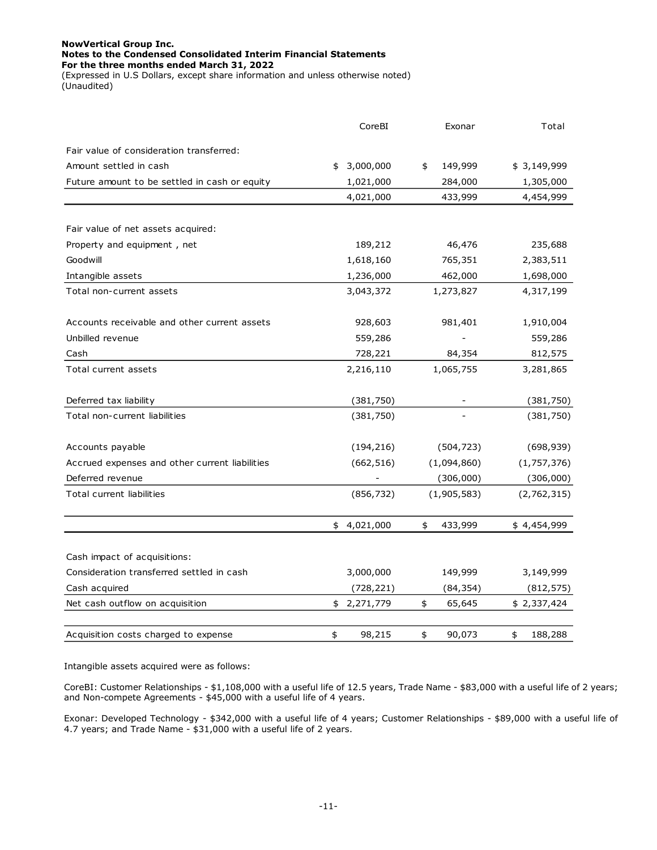(Expressed in U.S Dollars, except share information and unless otherwise noted) (Unaudited)

|                                                | CoreBI          | Exonar        | Total         |
|------------------------------------------------|-----------------|---------------|---------------|
| Fair value of consideration transferred:       |                 |               |               |
| Amount settled in cash                         | \$<br>3,000,000 | \$<br>149,999 | \$3,149,999   |
| Future amount to be settled in cash or equity  | 1,021,000       | 284,000       | 1,305,000     |
|                                                | 4,021,000       | 433,999       | 4,454,999     |
|                                                |                 |               |               |
| Fair value of net assets acquired:             |                 |               |               |
| Property and equipment, net                    | 189,212         | 46,476        | 235,688       |
| Goodwill                                       | 1,618,160       | 765,351       | 2,383,511     |
| Intangible assets                              | 1,236,000       | 462,000       | 1,698,000     |
| Total non-current assets                       | 3,043,372       | 1,273,827     | 4,317,199     |
| Accounts receivable and other current assets   | 928,603         | 981,401       | 1,910,004     |
| Unbilled revenue                               | 559,286         |               | 559,286       |
| Cash                                           | 728,221         | 84,354        | 812,575       |
| Total current assets                           | 2,216,110       | 1,065,755     | 3,281,865     |
| Deferred tax liability                         | (381,750)       |               | (381, 750)    |
| Total non-current liabilities                  | (381,750)       |               | (381,750)     |
| Accounts payable                               | (194, 216)      | (504, 723)    | (698, 939)    |
| Accrued expenses and other current liabilities | (662, 516)      | (1,094,860)   | (1,757,376)   |
| Deferred revenue                               |                 | (306,000)     | (306,000)     |
| Total current liabilities                      | (856, 732)      | (1,905,583)   | (2,762,315)   |
|                                                | \$4,021,000     | \$<br>433,999 | \$4,454,999   |
| Cash impact of acquisitions:                   |                 |               |               |
| Consideration transferred settled in cash      | 3,000,000       | 149,999       | 3,149,999     |
| Cash acquired                                  | (728, 221)      | (84, 354)     | (812, 575)    |
| Net cash outflow on acquisition                | \$ 2,271,779    | \$<br>65,645  | \$ 2,337,424  |
|                                                |                 |               |               |
| Acquisition costs charged to expense           | \$<br>98,215    | \$<br>90,073  | \$<br>188,288 |

Intangible assets acquired were as follows:

CoreBI: Customer Relationships - \$1,108,000 with a useful life of 12.5 years, Trade Name - \$83,000 with a useful life of 2 years; and Non-compete Agreements - \$45,000 with a useful life of 4 years.

Exonar: Developed Technology - \$342,000 with a useful life of 4 years; Customer Relationships - \$89,000 with a useful life of 4.7 years; and Trade Name - \$31,000 with a useful life of 2 years.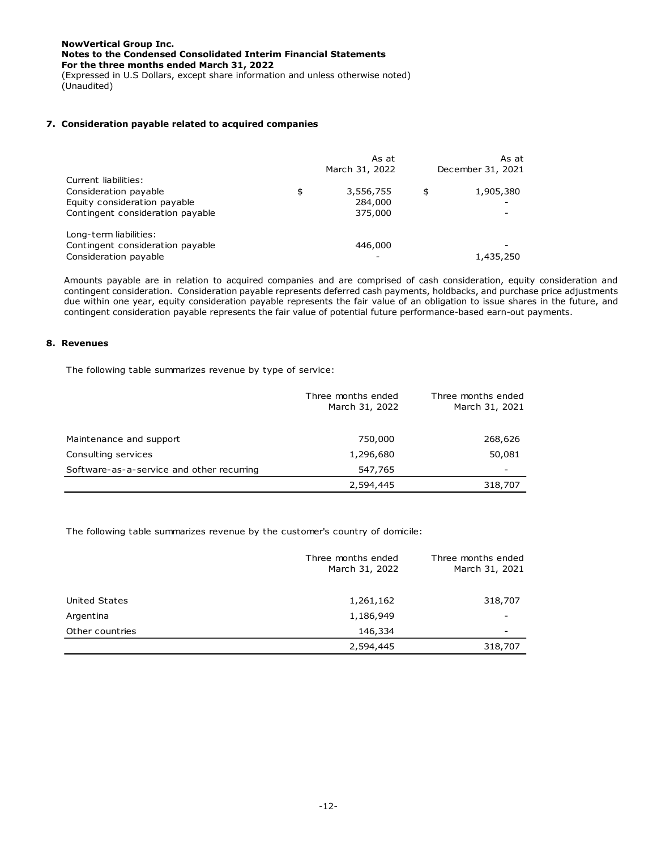(Expressed in U.S Dollars, except share information and unless otherwise noted) (Unaudited)

### **7. Consideration payable related to acquired companies**

|                                                                               | As at<br>March 31, 2022    | As at<br>December 31, 2021 |
|-------------------------------------------------------------------------------|----------------------------|----------------------------|
| Current liabilities:<br>Consideration payable<br>Equity consideration payable | \$<br>3,556,755<br>284,000 | \$<br>1,905,380            |
| Contingent consideration payable                                              | 375,000                    |                            |
| Long-term liabilities:<br>Contingent consideration payable                    | 446,000                    |                            |
| Consideration payable                                                         |                            | 1,435,250                  |

Amounts payable are in relation to acquired companies and are comprised of cash consideration, equity consideration and contingent consideration. Consideration payable represents deferred cash payments, holdbacks, and purchase price adjustments due within one year, equity consideration payable represents the fair value of an obligation to issue shares in the future, and contingent consideration payable represents the fair value of potential future performance-based earn-out payments.

#### **8. Revenues**

The following table summarizes revenue by type of service:

|                                           | Three months ended<br>March 31, 2022 | Three months ended<br>March 31, 2021 |
|-------------------------------------------|--------------------------------------|--------------------------------------|
| Maintenance and support                   | 750,000                              | 268,626                              |
| Consulting services                       | 1,296,680                            | 50,081                               |
| Software-as-a-service and other recurring | 547,765                              |                                      |
|                                           | 2,594,445                            | 318,707                              |

The following table summarizes revenue by the customer's country of domicile:

|                 | Three months ended<br>March 31, 2022 | Three months ended<br>March 31, 2021 |
|-----------------|--------------------------------------|--------------------------------------|
| United States   | 1,261,162                            | 318,707                              |
| Argentina       | 1,186,949                            | $\overline{\phantom{a}}$             |
| Other countries | 146,334                              | $\overline{\phantom{a}}$             |
|                 | 2,594,445                            | 318,707                              |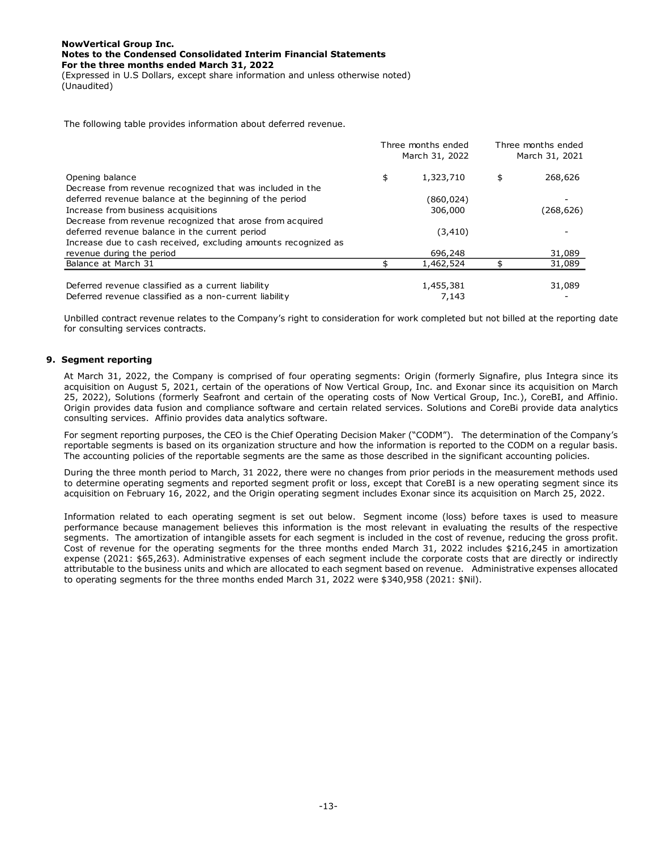(Expressed in U.S Dollars, except share information and unless otherwise noted) (Unaudited)

The following table provides information about deferred revenue.

|                                                                | Three months ended<br>March 31, 2022 | Three months ended<br>March 31, 2021 |            |  |
|----------------------------------------------------------------|--------------------------------------|--------------------------------------|------------|--|
| Opening balance                                                | \$<br>1,323,710                      | \$                                   | 268,626    |  |
| Decrease from revenue recognized that was included in the      |                                      |                                      |            |  |
| deferred revenue balance at the beginning of the period        | (860,024)                            |                                      |            |  |
| Increase from business acquisitions                            | 306,000                              |                                      | (268, 626) |  |
| Decrease from revenue recognized that arose from acquired      |                                      |                                      |            |  |
| deferred revenue balance in the current period                 | (3, 410)                             |                                      |            |  |
| Increase due to cash received, excluding amounts recognized as |                                      |                                      |            |  |
| revenue during the period                                      | 696,248                              |                                      | 31,089     |  |
| Balance at March 31                                            | 1,462,524                            |                                      | 31,089     |  |
|                                                                |                                      |                                      |            |  |
| Deferred revenue classified as a current liability             | 1,455,381                            |                                      | 31,089     |  |
| Deferred revenue classified as a non-current liability         | 7.143                                |                                      |            |  |

Unbilled contract revenue relates to the Company's right to consideration for work completed but not billed at the reporting date for consulting services contracts.

### **9. Segment reporting**

At March 31, 2022, the Company is comprised of four operating segments: Origin (formerly Signafire, plus Integra since its acquisition on August 5, 2021, certain of the operations of Now Vertical Group, Inc. and Exonar since its acquisition on March 25, 2022), Solutions (formerly Seafront and certain of the operating costs of Now Vertical Group, Inc.), CoreBI, and Affinio. Origin provides data fusion and compliance software and certain related services. Solutions and CoreBi provide data analytics consulting services. Affinio provides data analytics software.

For segment reporting purposes, the CEO is the Chief Operating Decision Maker ("CODM"). The determination of the Company's reportable segments is based on its organization structure and how the information is reported to the CODM on a regular basis. The accounting policies of the reportable segments are the same as those described in the significant accounting policies.

During the three month period to March, 31 2022, there were no changes from prior periods in the measurement methods used to determine operating segments and reported segment profit or loss, except that CoreBI is a new operating segment since its acquisition on February 16, 2022, and the Origin operating segment includes Exonar since its acquisition on March 25, 2022.

Information related to each operating segment is set out below. Segment income (loss) before taxes is used to measure performance because management believes this information is the most relevant in evaluating the results of the respective segments. The amortization of intangible assets for each segment is included in the cost of revenue, reducing the gross profit. Cost of revenue for the operating segments for the three months ended March 31, 2022 includes \$216,245 in amortization expense (2021: \$65,263). Administrative expenses of each segment include the corporate costs that are directly or indirectly attributable to the business units and which are allocated to each segment based on revenue. Administrative expenses allocated to operating segments for the three months ended March 31, 2022 were \$340,958 (2021: \$Nil).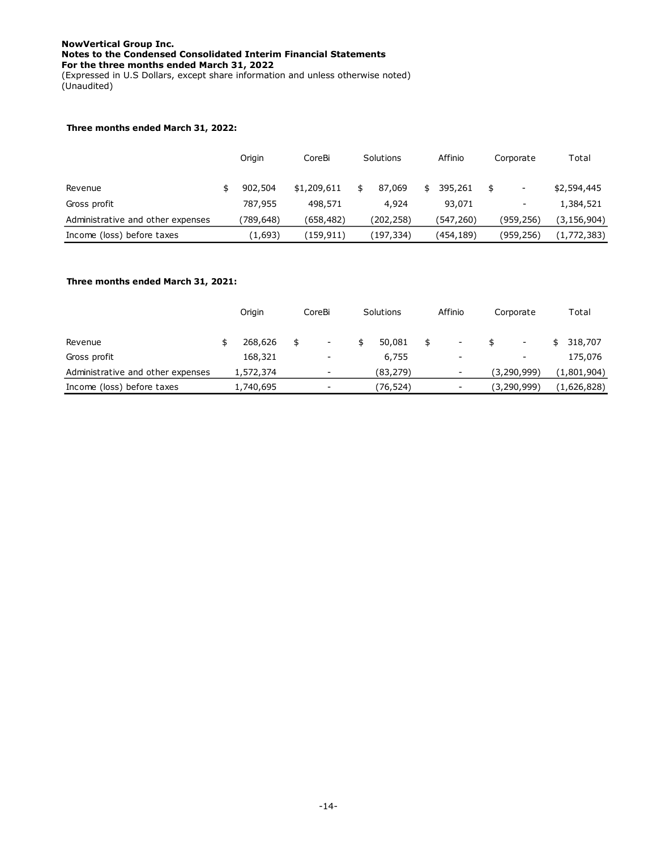(Expressed in U.S Dollars, except share information and unless otherwise noted) (Unaudited)

### **Three months ended March 31, 2022:**

|                                   | Origin   | CoreBi |             | Solutions |           | Affinio |           | Corporate |           | Total         |  |
|-----------------------------------|----------|--------|-------------|-----------|-----------|---------|-----------|-----------|-----------|---------------|--|
| Revenue                           | 902,504  |        |             |           | 87,069    |         | 395,261   |           |           |               |  |
|                                   |          |        | \$1,209,611 |           |           | \$      |           | \$        | -         | \$2,594,445   |  |
| Gross profit                      | 787,955  |        | 498,571     |           | 4,924     |         | 93,071    |           |           | 1,384,521     |  |
| Administrative and other expenses | 789.648) |        | (658,482)   |           | (202,258) |         | (547,260) |           | (959,256) | (3, 156, 904) |  |
| Income (loss) before taxes        | (1,693)  |        | (159, 911)  |           | (197,334) |         | (454,189) |           | (959,256) | (1,772,383)   |  |

## **Three months ended March 31, 2021:**

|                                   | Origin    | Solutions<br>CoreBi |                          | Affinio      | Corporate                      |  | Total       |  |             |
|-----------------------------------|-----------|---------------------|--------------------------|--------------|--------------------------------|--|-------------|--|-------------|
| Revenue                           | 268,626   | \$                  | $\overline{\phantom{a}}$ | \$<br>50,081 | \$<br>$\overline{\phantom{a}}$ |  | -           |  | 318,707     |
| Gross profit                      | 168,321   |                     | $\overline{\phantom{a}}$ | 6,755        | -                              |  |             |  | 175,076     |
| Administrative and other expenses | 1,572,374 |                     | $\overline{\phantom{a}}$ | (83, 279)    | $\overline{\phantom{a}}$       |  | (3,290,999) |  | (1,801,904) |
| Income (loss) before taxes        | 1,740,695 |                     | $\overline{\phantom{a}}$ | (76,524)     | -                              |  | (3,290,999) |  | (1,626,828) |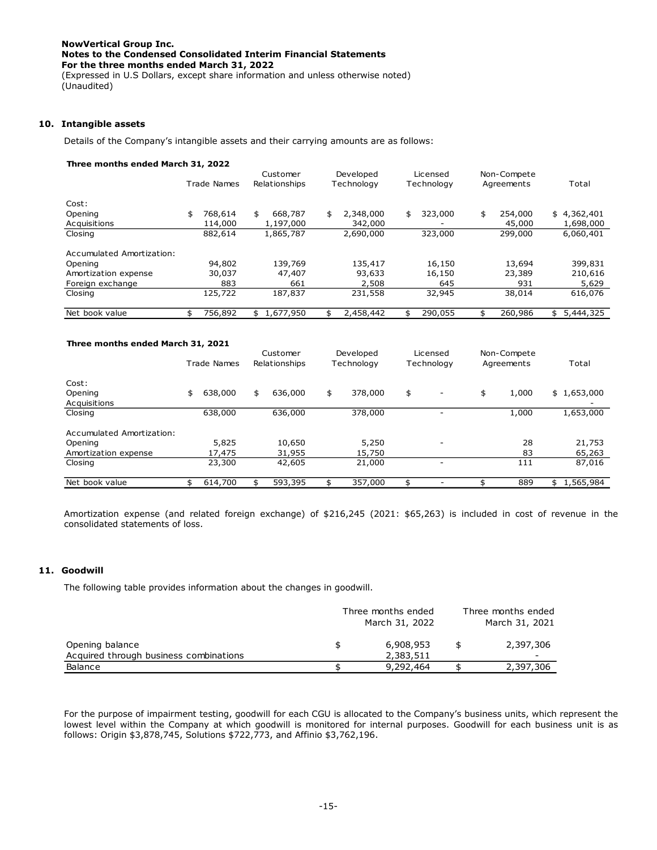(Expressed in U.S Dollars, except share information and unless otherwise noted) (Unaudited)

### **10. Intangible assets**

Details of the Company's intangible assets and their carrying amounts are as follows:

#### **Three months ended March 31, 2022**

|                           | Trade Names   | Customer<br>Relationships | Developed<br>Technology | Licensed<br>Technology | Non-Compete<br>Agreements | Total           |
|---------------------------|---------------|---------------------------|-------------------------|------------------------|---------------------------|-----------------|
| Cost:                     |               |                           |                         |                        |                           |                 |
| Opening                   | \$<br>768,614 | \$<br>668,787             | \$<br>2,348,000         | \$<br>323,000          | \$<br>254,000             | \$4,362,401     |
| Acquisitions              | 114,000       | 1,197,000                 | 342,000                 |                        | 45,000                    | 1,698,000       |
| Closing                   | 882,614       | 1,865,787                 | 2,690,000               | 323,000                | 299,000                   | 6,060,401       |
| Accumulated Amortization: |               |                           |                         |                        |                           |                 |
| Opening                   | 94,802        | 139,769                   | 135,417                 | 16,150                 | 13,694                    | 399,831         |
| Amortization expense      | 30,037        | 47,407                    | 93,633                  | 16,150                 | 23,389                    | 210,616         |
| Foreign exchange          | 883           | 661                       | 2,508                   | 645                    | 931                       | 5,629           |
| Closing                   | 125,722       | 187,837                   | 231,558                 | 32,945                 | 38,014                    | 616,076         |
| Net book value            | 756,892       | \$<br>1,677,950           | 2,458,442               | 290,055                | 260,986                   | \$<br>5,444,325 |

### **Three months ended March 31, 2021**

|                           | Trade Names   | Customer<br>Relationships |    | Developed<br>Technology | Licensed<br>Technology   | Non-Compete<br>Agreements | Total           |
|---------------------------|---------------|---------------------------|----|-------------------------|--------------------------|---------------------------|-----------------|
| Cost:                     |               |                           |    |                         |                          |                           |                 |
| Opening                   | \$<br>638,000 | \$<br>636,000             | \$ | 378,000                 | \$<br>٠                  | \$<br>1,000               | \$1,653,000     |
| Acquisitions              |               |                           |    |                         |                          |                           |                 |
| Closing                   | 638,000       | 636,000                   |    | 378,000                 |                          | 1,000                     | 1,653,000       |
| Accumulated Amortization: |               |                           |    |                         |                          |                           |                 |
| Opening                   | 5,825         | 10,650                    |    | 5,250                   | $\overline{\phantom{0}}$ | 28                        | 21,753          |
| Amortization expense      | 17,475        | 31,955                    |    | 15,750                  |                          | 83                        | 65,263          |
| Closing                   | 23,300        | 42,605                    |    | 21,000                  | ٠                        | 111                       | 87,016          |
| Net book value            | \$<br>614,700 | \$<br>593,395             | S  | 357,000                 | \$                       | 889                       | 1,565,984<br>\$ |

Amortization expense (and related foreign exchange) of \$216,245 (2021: \$65,263) is included in cost of revenue in the consolidated statements of loss.

### **11. Goodwill**

 $\overline{a}$ l,

The following table provides information about the changes in goodwill.

|                                        | Three months ended<br>March 31, 2022 | Three months ended<br>March 31, 2021 |                          |
|----------------------------------------|--------------------------------------|--------------------------------------|--------------------------|
| Opening balance                        | 6,908,953                            |                                      | 2,397,306                |
| Acquired through business combinations | 2,383,511                            |                                      | $\overline{\phantom{0}}$ |
| Balance                                | 9,292,464                            |                                      | 2,397,306                |

For the purpose of impairment testing, goodwill for each CGU is allocated to the Company's business units, which represent the lowest level within the Company at which goodwill is monitored for internal purposes. Goodwill for each business unit is as follows: Origin \$3,878,745, Solutions \$722,773, and Affinio \$3,762,196.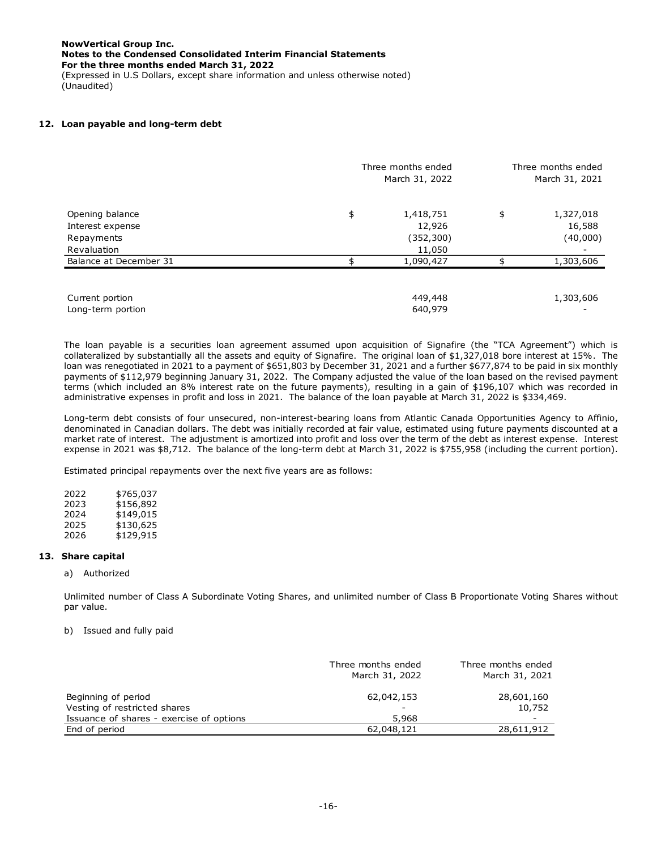#### **NowVertical Group Inc. Notes to the Condensed Consolidated Interim Financial Statements For the three months ended March 31, 2022** (Expressed in U.S Dollars, except share information and unless otherwise noted)

(Unaudited)

### **12. Loan payable and long-term debt**

|                        | Three months ended<br>March 31, 2022 |            | Three months ended<br>March 31, 2021 |           |  |
|------------------------|--------------------------------------|------------|--------------------------------------|-----------|--|
| Opening balance        | \$                                   | 1,418,751  | \$                                   | 1,327,018 |  |
| Interest expense       |                                      | 12,926     |                                      | 16,588    |  |
| Repayments             |                                      | (352, 300) |                                      | (40,000)  |  |
| Revaluation            |                                      | 11,050     |                                      |           |  |
| Balance at December 31 |                                      | 1,090,427  |                                      | 1,303,606 |  |
|                        |                                      |            |                                      |           |  |
|                        |                                      |            |                                      |           |  |
|                        |                                      |            |                                      |           |  |

| Current portion   | 449,448 | 1,303,606                |
|-------------------|---------|--------------------------|
| Long-term portion | 640.979 | $\overline{\phantom{0}}$ |

The loan payable is a securities loan agreement assumed upon acquisition of Signafire (the "TCA Agreement") which is collateralized by substantially all the assets and equity of Signafire. The original loan of \$1,327,018 bore interest at 15%. The loan was renegotiated in 2021 to a payment of \$651,803 by December 31, 2021 and a further \$677,874 to be paid in six monthly payments of \$112,979 beginning January 31, 2022. The Company adjusted the value of the loan based on the revised payment terms (which included an 8% interest rate on the future payments), resulting in a gain of \$196,107 which was recorded in administrative expenses in profit and loss in 2021. The balance of the loan payable at March 31, 2022 is \$334,469.

Long-term debt consists of four unsecured, non-interest-bearing loans from Atlantic Canada Opportunities Agency to Affinio, denominated in Canadian dollars. The debt was initially recorded at fair value, estimated using future payments discounted at a market rate of interest. The adjustment is amortized into profit and loss over the term of the debt as interest expense. Interest expense in 2021 was \$8,712. The balance of the long-term debt at March 31, 2022 is \$755,958 (including the current portion).

Estimated principal repayments over the next five years are as follows:

| 2022 | \$765,037 |
|------|-----------|
| 2023 | \$156,892 |
| 2024 | \$149,015 |
| 2025 | \$130,625 |
| 2026 | \$129,915 |

### **13. Share capital**

a) Authorized

Unlimited number of Class A Subordinate Voting Shares, and unlimited number of Class B Proportionate Voting Shares without par value.

### b) Issued and fully paid

|                                          | Three months ended<br>March 31, 2022 | Three months ended<br>March 31, 2021 |
|------------------------------------------|--------------------------------------|--------------------------------------|
| Beginning of period                      | 62,042,153                           | 28,601,160                           |
| Vesting of restricted shares             |                                      | 10,752                               |
| Issuance of shares - exercise of options | 5,968                                |                                      |
| End of period                            | 62,048,121                           | 28,611,912                           |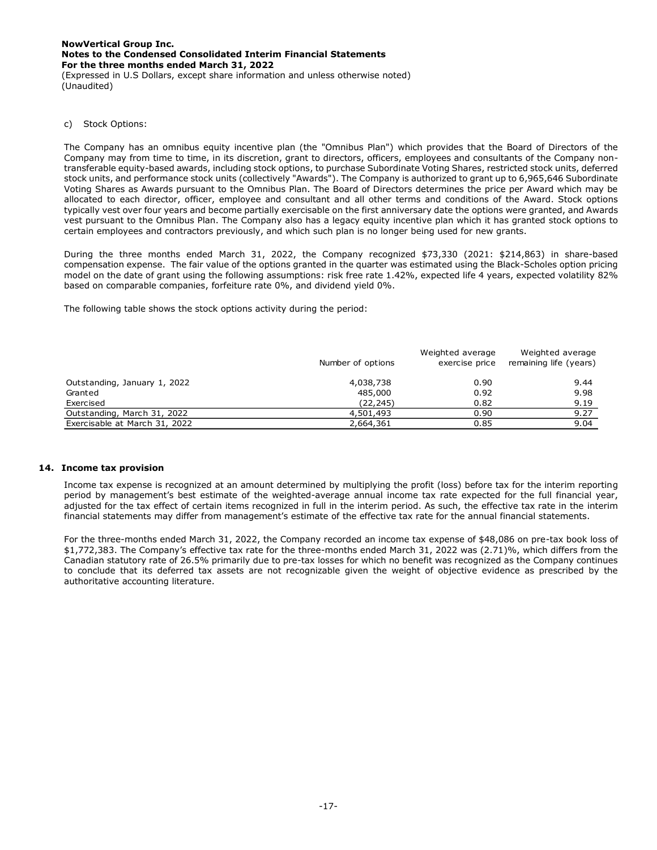(Expressed in U.S Dollars, except share information and unless otherwise noted) (Unaudited)

### c) Stock Options:

The Company has an omnibus equity incentive plan (the "Omnibus Plan") which provides that the Board of Directors of the Company may from time to time, in its discretion, grant to directors, officers, employees and consultants of the Company nontransferable equity-based awards, including stock options, to purchase Subordinate Voting Shares, restricted stock units, deferred stock units, and performance stock units (collectively "Awards"). The Company is authorized to grant up to 6,965,646 Subordinate Voting Shares as Awards pursuant to the Omnibus Plan. The Board of Directors determines the price per Award which may be allocated to each director, officer, employee and consultant and all other terms and conditions of the Award. Stock options typically vest over four years and become partially exercisable on the first anniversary date the options were granted, and Awards vest pursuant to the Omnibus Plan. The Company also has a legacy equity incentive plan which it has granted stock options to certain employees and contractors previously, and which such plan is no longer being used for new grants.

During the three months ended March 31, 2022, the Company recognized \$73,330 (2021: \$214,863) in share-based compensation expense. The fair value of the options granted in the quarter was estimated using the Black-Scholes option pricing model on the date of grant using the following assumptions: risk free rate 1.42%, expected life 4 years, expected volatility 82% based on comparable companies, forfeiture rate 0%, and dividend yield 0%.

The following table shows the stock options activity during the period:

|                               | Number of options | Weighted average<br>exercise price | Weighted average<br>remaining life (years) |
|-------------------------------|-------------------|------------------------------------|--------------------------------------------|
| Outstanding, January 1, 2022  | 4,038,738         | 0.90                               | 9.44                                       |
| Granted                       | 485,000           | 0.92                               | 9.98                                       |
| Exercised                     | (22, 245)         | 0.82                               | 9.19                                       |
| Outstanding, March 31, 2022   | 4,501,493         | 0.90                               | 9.27                                       |
| Exercisable at March 31, 2022 | 2,664,361         | 0.85                               | 9.04                                       |

#### **14. Income tax provision**

Income tax expense is recognized at an amount determined by multiplying the profit (loss) before tax for the interim reporting period by management's best estimate of the weighted-average annual income tax rate expected for the full financial year, adjusted for the tax effect of certain items recognized in full in the interim period. As such, the effective tax rate in the interim financial statements may differ from management's estimate of the effective tax rate for the annual financial statements.

For the three-months ended March 31, 2022, the Company recorded an income tax expense of \$48,086 on pre-tax book loss of \$1,772,383. The Company's effective tax rate for the three-months ended March 31, 2022 was (2.71)%, which differs from the Canadian statutory rate of 26.5% primarily due to pre-tax losses for which no benefit was recognized as the Company continues to conclude that its deferred tax assets are not recognizable given the weight of objective evidence as prescribed by the authoritative accounting literature.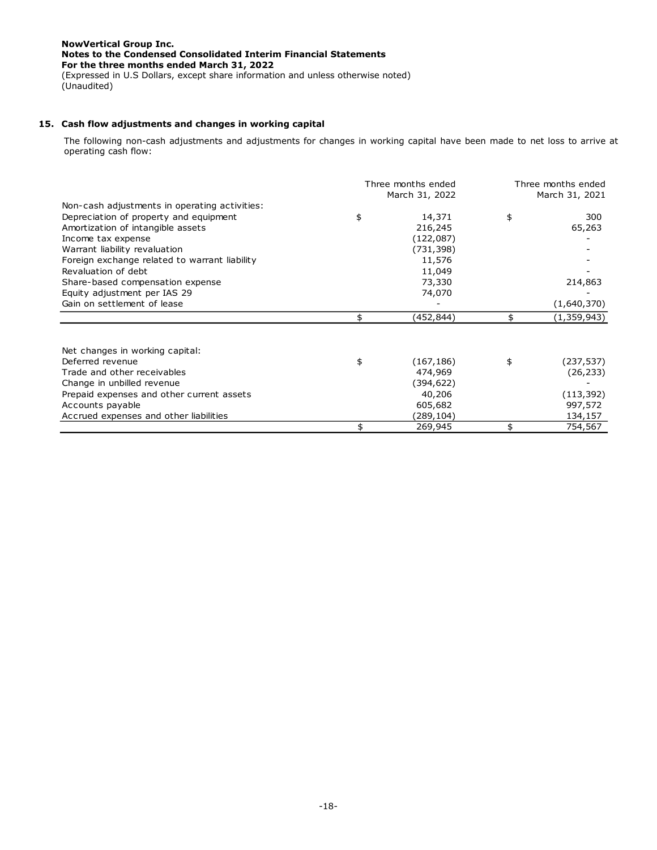(Expressed in U.S Dollars, except share information and unless otherwise noted) (Unaudited)

### **15. Cash flow adjustments and changes in working capital**

The following non-cash adjustments and adjustments for changes in working capital have been made to net loss to arrive at operating cash flow:

|                                               | Three months ended<br>March 31, 2022 | Three months ended<br>March 31, 2021 |
|-----------------------------------------------|--------------------------------------|--------------------------------------|
| Non-cash adjustments in operating activities: |                                      |                                      |
| Depreciation of property and equipment        | \$<br>14,371                         | \$<br>300                            |
| Amortization of intangible assets             | 216,245                              | 65,263                               |
| Income tax expense                            | (122,087)                            |                                      |
| Warrant liability revaluation                 | (731, 398)                           |                                      |
| Foreign exchange related to warrant liability | 11,576                               |                                      |
| Revaluation of debt                           | 11,049                               |                                      |
| Share-based compensation expense              | 73,330                               | 214,863                              |
| Equity adjustment per IAS 29                  | 74,070                               |                                      |
| Gain on settlement of lease                   |                                      | (1,640,370)                          |
|                                               | \$<br>(452,844)                      | \$<br>(1,359,943)                    |
| Net changes in working capital:               |                                      |                                      |
| Deferred revenue                              | \$<br>(167, 186)                     | \$<br>(237,537)                      |
| Trade and other receivables                   | 474,969                              | (26, 233)                            |
| Change in unbilled revenue                    | (394,622)                            |                                      |
| Prepaid expenses and other current assets     | 40,206                               | (113,392)                            |
| Accounts payable                              | 605,682                              | 997,572                              |
| Accrued expenses and other liabilities        | (289,104)                            | 134,157                              |
|                                               | \$<br>269,945                        | \$<br>754,567                        |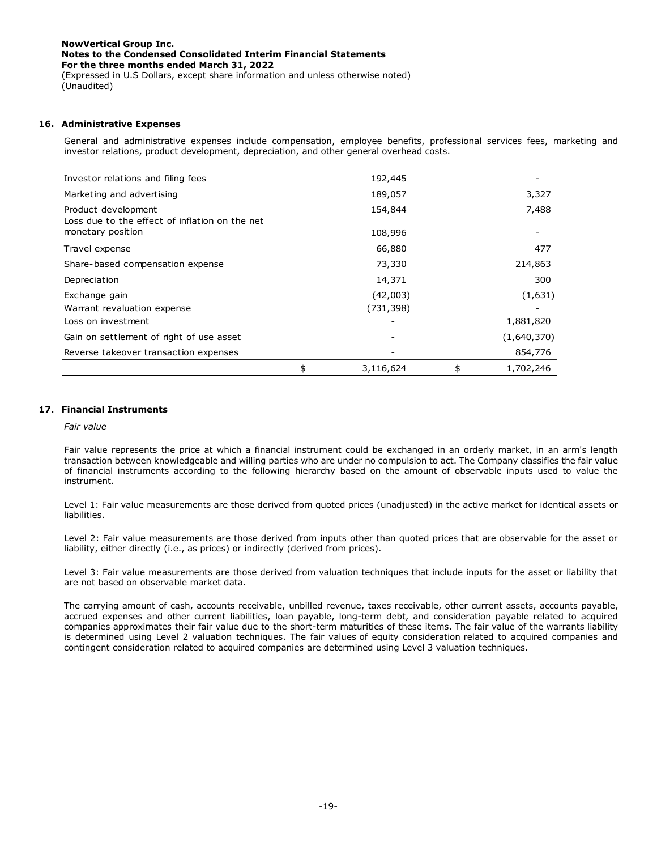(Expressed in U.S Dollars, except share information and unless otherwise noted) (Unaudited)

### **16. Administrative Expenses**

General and administrative expenses include compensation, employee benefits, professional services fees, marketing and investor relations, product development, depreciation, and other general overhead costs.

| Investor relations and filing fees                                    | 192,445         |                 |
|-----------------------------------------------------------------------|-----------------|-----------------|
| Marketing and advertising                                             | 189,057         | 3,327           |
| Product development<br>Loss due to the effect of inflation on the net | 154,844         | 7,488           |
| monetary position                                                     | 108,996         |                 |
| Travel expense                                                        | 66,880          | 477             |
| Share-based compensation expense                                      | 73,330          | 214,863         |
| Depreciation                                                          | 14,371          | 300             |
| Exchange gain                                                         | (42,003)        | (1,631)         |
| Warrant revaluation expense                                           | (731, 398)      |                 |
| Loss on investment                                                    |                 | 1,881,820       |
| Gain on settlement of right of use asset                              |                 | (1,640,370)     |
| Reverse takeover transaction expenses                                 |                 | 854,776         |
|                                                                       | \$<br>3,116,624 | \$<br>1,702,246 |

### **17. Financial Instruments**

### *Fair value*

Fair value represents the price at which a financial instrument could be exchanged in an orderly market, in an arm's length transaction between knowledgeable and willing parties who are under no compulsion to act. The Company classifies the fair value of financial instruments according to the following hierarchy based on the amount of observable inputs used to value the instrument.

Level 1: Fair value measurements are those derived from quoted prices (unadjusted) in the active market for identical assets or liabilities.

Level 2: Fair value measurements are those derived from inputs other than quoted prices that are observable for the asset or liability, either directly (i.e., as prices) or indirectly (derived from prices).

Level 3: Fair value measurements are those derived from valuation techniques that include inputs for the asset or liability that are not based on observable market data.

The carrying amount of cash, accounts receivable, unbilled revenue, taxes receivable, other current assets, accounts payable, accrued expenses and other current liabilities, loan payable, long-term debt, and consideration payable related to acquired companies approximates their fair value due to the short-term maturities of these items. The fair value of the warrants liability is determined using Level 2 valuation techniques. The fair values of equity consideration related to acquired companies and contingent consideration related to acquired companies are determined using Level 3 valuation techniques.